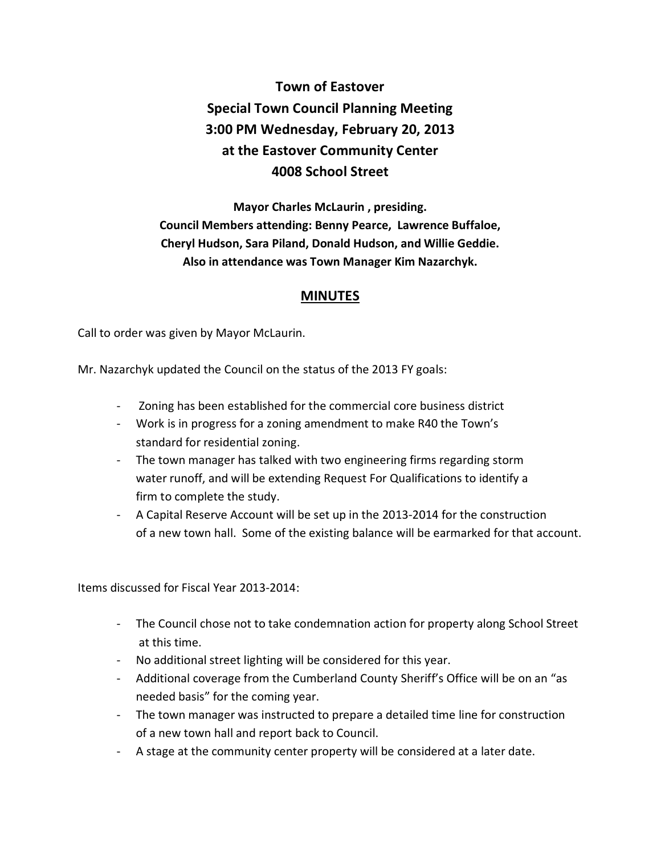## **Town of Eastover Special Town Council Planning Meeting 3:00 PM Wednesday, February 20, 2013 at the Eastover Community Center 4008 School Street**

**Mayor Charles McLaurin , presiding. Council Members attending: Benny Pearce, Lawrence Buffaloe, Cheryl Hudson, Sara Piland, Donald Hudson, and Willie Geddie. Also in attendance was Town Manager Kim Nazarchyk.** 

## **MINUTES**

Call to order was given by Mayor McLaurin.

Mr. Nazarchyk updated the Council on the status of the 2013 FY goals:

- Zoning has been established for the commercial core business district
- Work is in progress for a zoning amendment to make R40 the Town's standard for residential zoning.
- The town manager has talked with two engineering firms regarding storm water runoff, and will be extending Request For Qualifications to identify a firm to complete the study.
- A Capital Reserve Account will be set up in the 2013-2014 for the construction of a new town hall. Some of the existing balance will be earmarked for that account.

Items discussed for Fiscal Year 2013-2014:

- The Council chose not to take condemnation action for property along School Street at this time.
- No additional street lighting will be considered for this year.
- Additional coverage from the Cumberland County Sheriff's Office will be on an "as needed basis" for the coming year.
- The town manager was instructed to prepare a detailed time line for construction of a new town hall and report back to Council.
- A stage at the community center property will be considered at a later date.